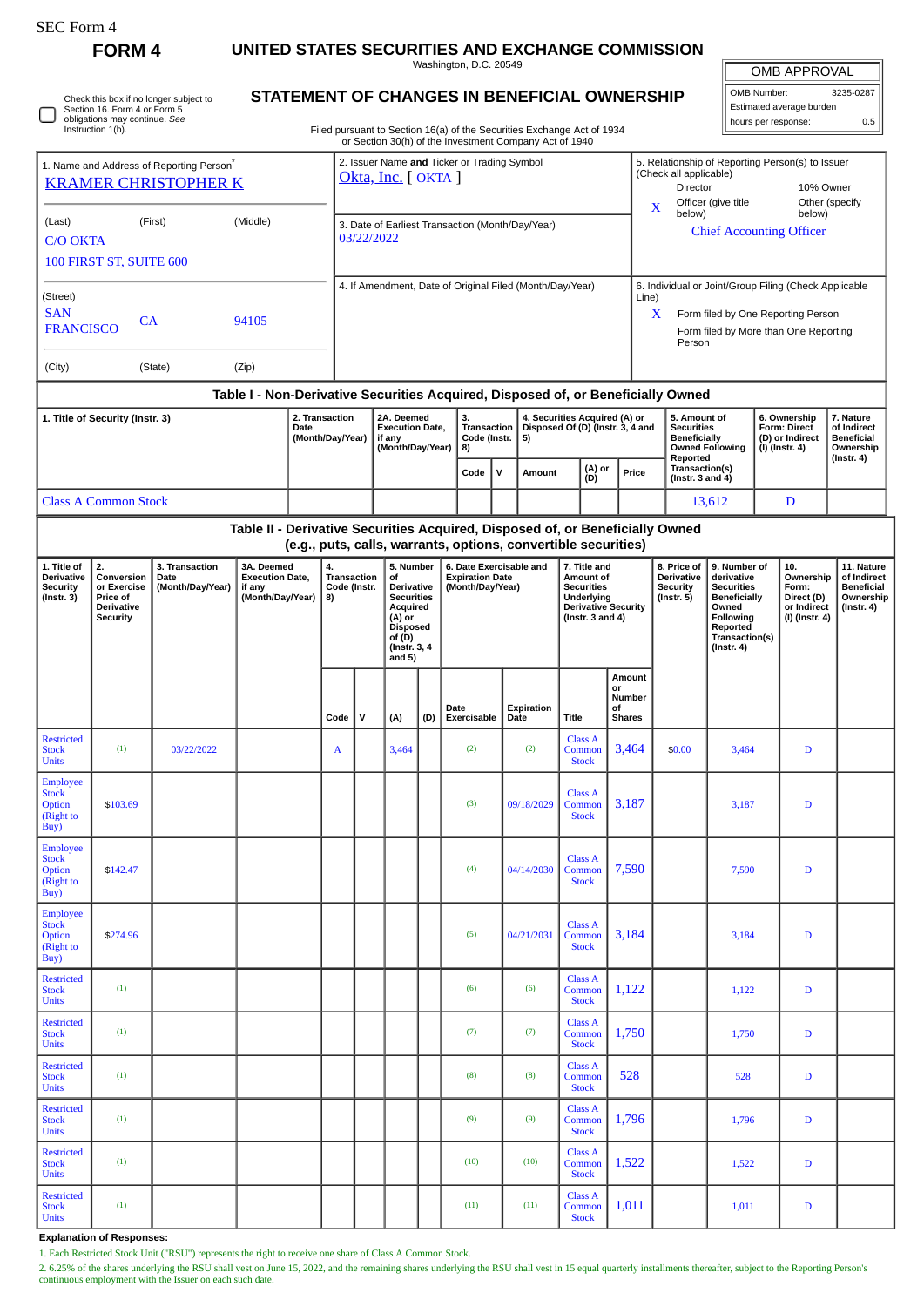| - C Form |
|----------|
|----------|

**FORM 4 UNITED STATES SECURITIES AND EXCHANGE COMMISSION**

**STATEMENT OF CHANGES IN BENEFICIAL OWNERSHIP**

Washington, D.C. 20549

OMB APPROVAL

| OMB Number:              | 3235-0287 |  |
|--------------------------|-----------|--|
| Estimated average burden |           |  |
| ll hours per response:   | 0.5       |  |

Filed pursuant to Section 16(a) of the Securities Exchange Act of 1934 or Section 30(h) of the Investment Company Act of 1940 hours per response: 0.5 Check this box if no longer subject to Section 16. Form 4 or Form 5 obligations may continue. *See* Instruction 1(b) 1. Name and Address of Reporting Person<sup>\*</sup> [KRAMER CHRISTOPHER K](http://www.sec.gov/cgi-bin/browse-edgar?action=getcompany&CIK=0001788037) (Last) (First) (Middle) C/O OKTA 100 FIRST ST, SUITE 600 (Street) SAN FRANCISCO CA 94105 (City) (State) (Zip) 2. Issuer Name **and** Ticker or Trading Symbol [Okta, Inc.](http://www.sec.gov/cgi-bin/browse-edgar?action=getcompany&CIK=0001660134) [ OKTA ] 5. Relationship of Reporting Person(s) to Issuer (Check all applicable) Director 10% Owner X Officer (give title below) Other (specify below) 3. Date of Earliest Transaction (Month/Day/Year)<br>
Chief Accounting Officer 03/22/2022 4. If Amendment, Date of Original Filed (Month/Day/Year) | 6. Individual or Joint/Group Filing (Check Applicable Line) X Form filed by One Reporting Person Form filed by More than One Reporting Person **Table I - Non-Derivative Securities Acquired, Disposed of, or Beneficially Owned 1. Title of Security (Instr. 3) 2. Transaction Date (Month/Day/Year) 2A. Deemed Execution Date, if any (Month/Day/Year) 3. Transaction Code (Instr. 8) 4. Securities Acquired (A) or Disposed Of (D) (Instr. 3, 4 and 5) 5. Amount of Securities Beneficially Owned Following Reported Transaction(s) (Instr. 3 and 4) 6. Ownership Form: Direct (D) or Indirect (I) (Instr. 4) 7. Nature of Indirect Beneficial Ownership (Instr. 4)**  $\text{Code}$   $\begin{bmatrix} \mathsf{V} \end{bmatrix}$  Amount  $\begin{bmatrix} \mathsf{(A)} \ \mathsf{(D)} \end{bmatrix}$  Price Class A Common Stock D and The Class A Common Stock D **Table II - Derivative Securities Acquired, Disposed of, or Beneficially Owned (e.g., puts, calls, warrants, options, convertible securities) 1. Title of Derivative Security (Instr. 3) 2. Conversion or Exercise Price of Derivative Security 3. Transaction Date (Month/Day/Year) 3A. Deemed Execution Date, if any (Month/Day/Year) 4. Transaction Code (Instr. 8) 5. Number of Derivative Securities Acquired (A) or Disposed of (D) (Instr. 3, 4 and 5) 6. Date Exercisable and Expiration Date (Month/Day/Year) 7. Title and Amount of Securities Underlying Derivative Security (Instr. 3 and 4) 8. Price of Derivative Security (Instr. 5) 9. Number of derivative Securities Beneficially Owned Following Reported Transaction(s) (Instr. 4) 10. Ownership Form: Direct (D) or Indirect (I) (Instr. 4) 11. Nature of Indirect Beneficial Ownership (Instr. 4) Code V (A) (D) Date Exercisable Expiration Date Title Amount or Number of Shares** Restricted **Stock Units** (1)  $0.3/22/2022$  A  $3,464$  (2) (2) Class A Commo Stock 3,464 \$0.00 3,464 D **Employee Stock** Option (Right to  $Buy$  $$103.69$  (3) 09/18/2029 Class A Comm **Stock** 3,187 D Employee **Stock Option** (Right to Buy)  $$142.47$  (4) 04/14/2030 Class A Common **Stock** 7,590 7,590 D **Employee** Stock **Option** (Right to  $\overrightarrow{Buy}$  $$274.96$  (5) 04/21/2031 Class A Common Stock 3,184 3,184 D Restricted **Stock Units**  $(1)$   $(1)$   $(6)$   $(6)$   $(6)$ Class A Commo Stock 1,122 D Restricted **Stock Unite** (1) (7) (7) Class A Common **Stock**  $1,750$  1,750 D Restricted **Stock** Units  $(1)$   $(2)$   $(3)$   $(8)$   $(8)$   $(8)$ Class A Comm Stock 528 528 D Restricted **Stock Units** (1) (9) (9) Class A  $\mathop{\mathsf{Com}}\nolimits$ Stock 1,796 D Restricted **Stock Units**  $(1)$   $(10)$   $(10)$ Class A Common Stock 1,522 D Restricted Stock Units (1) (11) (11) Class A Comm Stock 1,011 1,011 D

## **Explanation of Responses:**

1. Each Restricted Stock Unit ("RSU") represents the right to receive one share of Class A Common Stock.

2. 6.25% of the shares underlying the RSU shall vest on June 15, 2022, and the remaining shares underlying the RSU shall vest in 15 equal quarterly installments thereafter, subject to the Reporting Person's continuous employment with the Issuer on each such date.